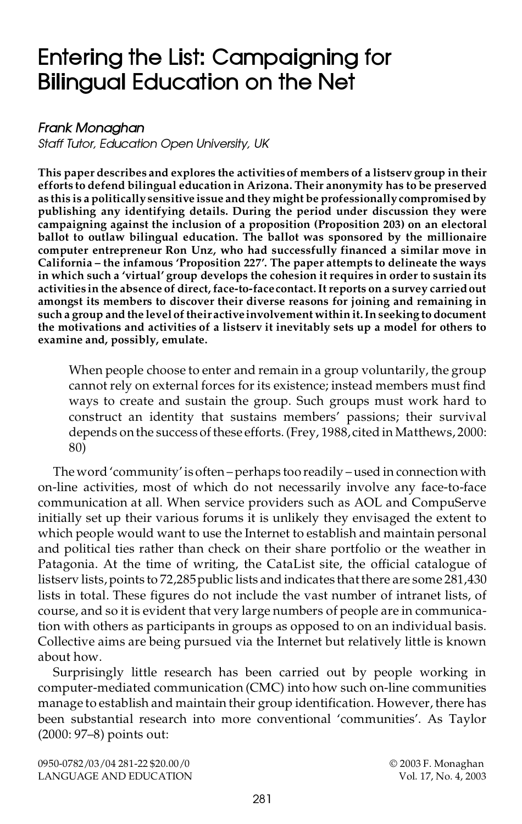# Entering the List: Campaigning for Bilingual Education on the Net

# *Frank Monaghan*

*Staff Tutor, Education Open University, UK*

**This paper describes and explores the activitiesof members of a listserv group in their efforts to defend bilingual education in Arizona. Their anonymity has to be preserved as this is a politicallysensitive issue and they might be professionallycompromised by publishing any identifying details. During the period under discussion they were campaigning against the inclusion of a proposition (Proposition 203) on an electoral ballot to outlaw bilingual education. The ballot was sponsored by the millionaire computer entrepreneur Ron Unz, who had successfully financed a similar move in California – the infamous 'Proposition 227'. The paper attempts to delineate the ways in which such a 'virtual' group develops the cohesion itrequires in order to sustain its activities in the absence of direct,face-to-facecontact.It reports on a survey carriedout amongst its members to discover their diverse reasons for joining and remaining in such a group and the leveloftheir activeinvolvement within it.In seeking to document the motivations and activities of a listserv it inevitably sets up a model for others to examine and, possibly, emulate.**

When people choose to enter and remain in a group voluntarily, the group cannot rely on external forces for its existence; instead members must find ways to create and sustain the group. Such groups must work hard to construct an identity that sustains members' passions; their survival depends on the success of these efforts. (Frey, 1988, cited in Matthews, 2000: 80)

The word'community'is often – perhaps too readily – used in connection with on-line activities, most of which do not necessarily involve any face-to-face communication at all. When service providers such as AOL and CompuServe initially set up their various forums it is unlikely they envisaged the extent to which people would want to use the Internet to establish and maintain personal and political ties rather than check on their share portfolio or the weather in Patagonia. At the time of writing, the CataList site, the official catalogue of listserv lists,points to 72,285public lists and indicates thatthere are some 281,430 lists in total. These figures do not include the vast number of intranet lists, of course, and so it is evident that very large numbers of people are in communication with others as participants in groups as opposed to on an individual basis. Collective aims are being pursued via the Internet but relatively little is known about how.

Surprisingly little research has been carried out by people working in computer-mediated communication (CMC) into how such on-line communities manage to establish and maintain their group identification. However, there has been substantial research into more conventional 'communities'. As Taylor (2000: 97–8) points out: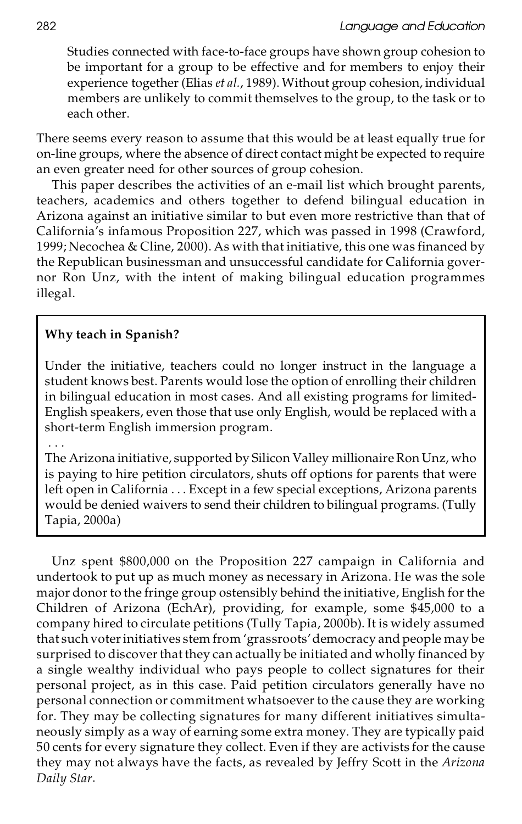Studies connected with face-to-face groups have shown group cohesion to be important for a group to be effective and for members to enjoy their experience together (Elias *et al.*, 1989). Without group cohesion, individual members are unlikely to commit themselves to the group, to the task or to each other.

There seems every reason to assume that this would be at least equally true for on-line groups, where the absence of direct contact might be expected to require an even greater need for other sources of group cohesion.

This paper describes the activities of an e-mail list which brought parents, teachers, academics and others together to defend bilingual education in Arizona against an initiative similar to but even more restrictive than that of California's infamous Proposition 227, which was passed in 1998 (Crawford, 1999; Necochea & Cline, 2000). As with that initiative, this one was financed by the Republican businessman and unsuccessful candidate for California governor Ron Unz, with the intent of making bilingual education programmes illegal.

# **Why teach in Spanish?**

. . .

Under the initiative, teachers could no longer instruct in the language a student knows best. Parents would lose the option of enrolling their children in bilingual education in most cases. And all existing programs for limited-English speakers, even those that use only English, would be replaced with a short-term English immersion program.

The Arizona initiative, supported by Silicon Valley millionaire Ron Unz, who is paying to hire petition circulators, shuts off options for parents that were left open in California . . . Except in a few special exceptions, Arizona parents would be denied waivers to send their children to bilingual programs. (Tully Tapia, 2000a)

Unz spent \$800,000 on the Proposition 227 campaign in California and undertook to put up as much money as necessary in Arizona. He was the sole major donor to the fringe group ostensibly behind the initiative, English forthe Children of Arizona (EchAr), providing, for example, some \$45,000 to a company hired to circulate petitions (Tully Tapia, 2000b). It is widely assumed that such voterinitiatives stem from 'grassroots'democracy and people may be surprised to discover that they can actually be initiated and wholly financed by a single wealthy individual who pays people to collect signatures for their personal project, as in this case. Paid petition circulators generally have no personal connection or commitment whatsoever to the cause they are working for. They may be collecting signatures for many different initiatives simultaneously simply as a way of earning some extra money. They are typically paid 50 cents for every signature they collect. Even if they are activists for the cause they may not always have the facts, as revealed by Jeffry Scott in the *Arizona Daily Star*.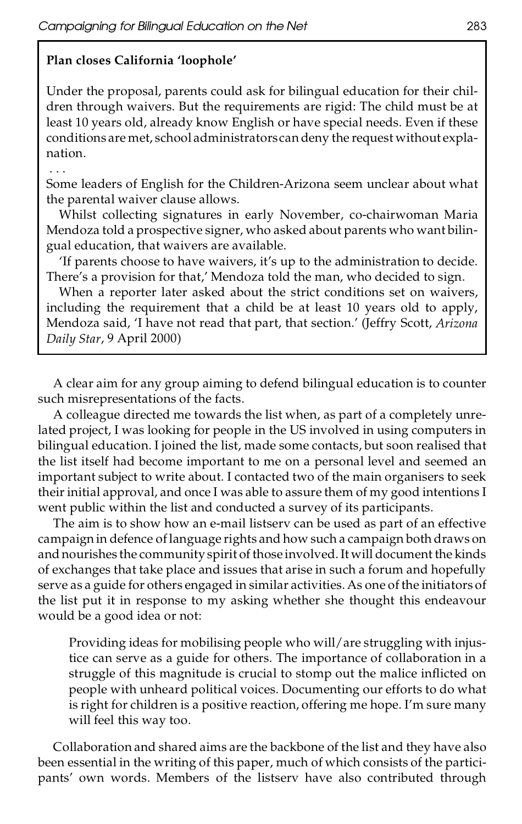### **Plan closes California 'loophole'**

Under the proposal, parents could ask for bilingual education for their children through waivers. But the requirements are rigid: The child must be at least 10 years old, already know English or have special needs. Even if these conditions are met, school administratorscan deny the request without explanation.

. . . Some leaders of English for the Children-Arizona seem unclear about what the parental waiver clause allows.

Whilst collecting signatures in early November, co-chairwoman Maria Mendoza told a prospective signer, who asked about parents who want bilingual education, that waivers are available.

'If parents choose to have waivers, it's up to the administration to decide. There's a provision for that,' Mendoza told the man, who decided to sign.

When a reporter later asked about the strict conditions set on waivers, including the requirement that a child be at least 10 years old to apply, Mendoza said, 'I have not read that part, that section.' (Jeffry Scott, *Arizona Daily Star*, 9 April 2000)

A clear aim for any group aiming to defend bilingual education is to counter such misrepresentations of the facts.

A colleague directed me towards the list when, as part of a completely unrelated project, I was looking for people in the US involved in using computers in bilingual education. I joined the list, made some contacts, but soon realised that the list itself had become important to me on a personal level and seemed an important subject to write about. I contacted two of the main organisers to seek their initial approval, and once I was able to assure them of my good intentions I went public within the list and conducted a survey of its participants.

The aim is to show how an e-mail listserv can be used as part of an effective campaign in defence oflanguage rights and how such a campaign both draws on and nourishes the communityspirit of those involved.It will document the kinds of exchanges that take place and issues that arise in such a forum and hopefully serve as a guide for others engaged in similar activities. As one of the initiators of the list put it in response to my asking whether she thought this endeavour would be a good idea or not:

Providing ideas for mobilising people who will/are struggling with injustice can serve as a guide for others. The importance of collaboration in a struggle of this magnitude is crucial to stomp out the malice inflicted on people with unheard political voices. Documenting our efforts to do what is right for children is a positive reaction, offering me hope. I'm sure many will feel this way too.

Collaboration and shared aims are the backbone of the list and they have also been essential in the writing of this paper, much of which consists of the participants' own words. Members of the listserv have also contributed through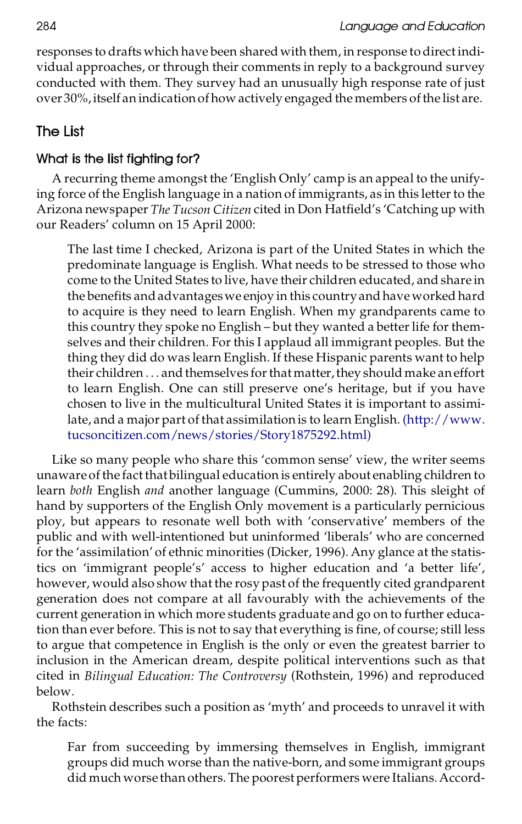responses to drafts which have been shared with them, in response to directindividual approaches, or through their comments in reply to a background survey conducted with them. They survey had an unusually high response rate of just over 30%, itself an indication of how actively engaged the members of the list are.

# The List

### What is the list fighting for?

A recurring theme amongst the 'English Only' camp is an appeal to the unifying force of the English language in a nation of immigrants, as in this letter to the Arizona newspaper *The Tucson Citizen* cited in Don Hatfield's 'Catching up with our Readers' column on 15 April 2000:

The last time I checked, Arizona is part of the United States in which the predominate language is English. What needs to be stressed to those who come to the United States to live, have their children educated, and share in the benefits and advantages we enjoy in this country and have worked hard to acquire is they need to learn English. When my grandparents came to this country they spoke no English – but they wanted a better life for themselves and their children. For this I applaud all immigrant peoples. But the thing they did do was learn English. If these Hispanic parents want to help their children ... and themselves for that matter, they should make an effort to learn English. One can still preserve one's heritage, but if you have chosen to live in the multicultural United States it is important to assimi-late, and a major part of that assimilation is to learn English. [\(http://www.](http://www.tucsoncitizen.com/news/stories/Story1875292.html) [tucsoncitizen.com/news/stories/Story1875292.html\)](http://www.tucsoncitizen.com/news/stories/Story1875292.html)

Like so many people who share this 'common sense' view, the writer seems unaware of the fact that bilingual education is entirely about enabling children to learn *both* English *and* another language (Cummins, 2000: 28). This sleight of hand by supporters of the English Only movement is a particularly pernicious ploy, but appears to resonate well both with 'conservative' members of the public and with well-intentioned but uninformed 'liberals' who are concerned for the 'assimilation' of ethnic minorities (Dicker, 1996). Any glance at the statistics on 'immigrant people's' access to higher education and 'a better life', however, would also show that the rosy past of the frequently cited grandparent generation does not compare at all favourably with the achievements of the current generation in which more students graduate and go on to further education than ever before. This is not to say that everything is fine, of course; still less to argue that competence in English is the only or even the greatest barrier to inclusion in the American dream, despite political interventions such as that cited in *Bilingual Education: The Controversy* (Rothstein, 1996) and reproduced below.

Rothstein describes such a position as 'myth' and proceeds to unravel it with the facts:

Far from succeeding by immersing themselves in English, immigrant groups did much worse than the native-born, and some immigrant groups did much worse than others. The poorest performers were Italians. Accord-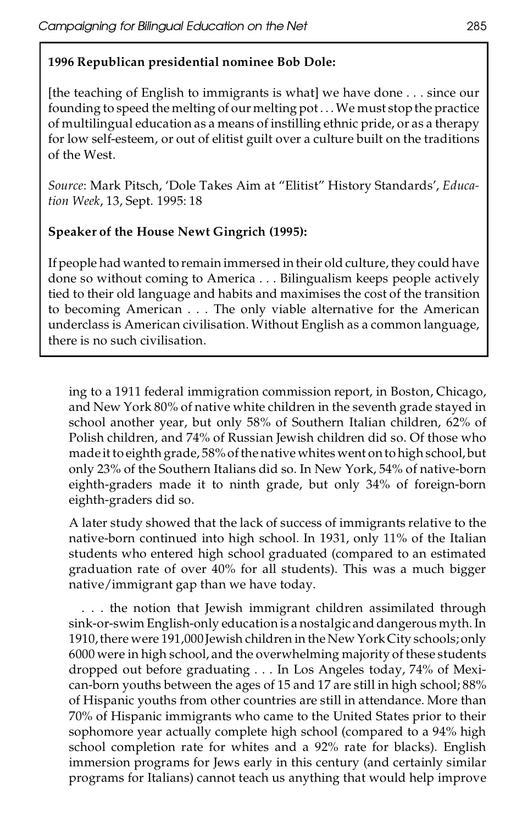# **1996 Republican presidential nominee Bob Dole:**

[the teaching of English to immigrants is what] we have done . . . since our founding to speed the melting of our melting pot... We must stop the practice of multilingual education as a means of instilling ethnic pride, or as a therapy for low self-esteem, or out of elitist guilt over a culture built on the traditions of the West.

*Source*: Mark Pitsch, 'Dole Takes Aim at "Elitist" History Standards', *Education Week*, 13, Sept. 1995: 18

# **Speaker of the House Newt Gingrich (1995):**

If people had wanted to remain immersed in their old culture, they could have done so without coming to America . . . Bilingualism keeps people actively tied to their old language and habits and maximises the cost of the transition to becoming American . . . The only viable alternative for the American underclass is American civilisation. Without English as a common language, there is no such civilisation.

ing to a 1911 federal immigration commission report, in Boston, Chicago, and New York 80% of native white children in the seventh grade stayed in school another year, but only 58% of Southern Italian children, 62% of Polish children, and 74% of Russian Jewish children did so. Of those who made it to eighth grade, 58% of the native whites went on to high school, but only 23% of the Southern Italians did so. In New York, 54% of native-born eighth-graders made it to ninth grade, but only 34% of foreign-born eighth-graders did so.

A later study showed that the lack of success of immigrants relative to the native-born continued into high school. In 1931, only 11% of the Italian students who entered high school graduated (compared to an estimated graduation rate of over 40% for all students). This was a much bigger native/immigrant gap than we have today.

. . . the notion that Jewish immigrant children assimilated through sink-or-swim English-only education is a nostalgic and dangerous myth.In 1910,there were 191,000Jewish children in the New York City schools;only 6000 were in high school, and the overwhelming majority of these students dropped out before graduating . . . In Los Angeles today, 74% of Mexican-born youths between the ages of 15 and 17 are still in high school; 88% of Hispanic youths from other countries are still in attendance. More than 70% of Hispanic immigrants who came to the United States prior to their sophomore year actually complete high school (compared to a 94% high school completion rate for whites and a 92% rate for blacks). English immersion programs for Jews early in this century (and certainly similar programs for Italians) cannot teach us anything that would help improve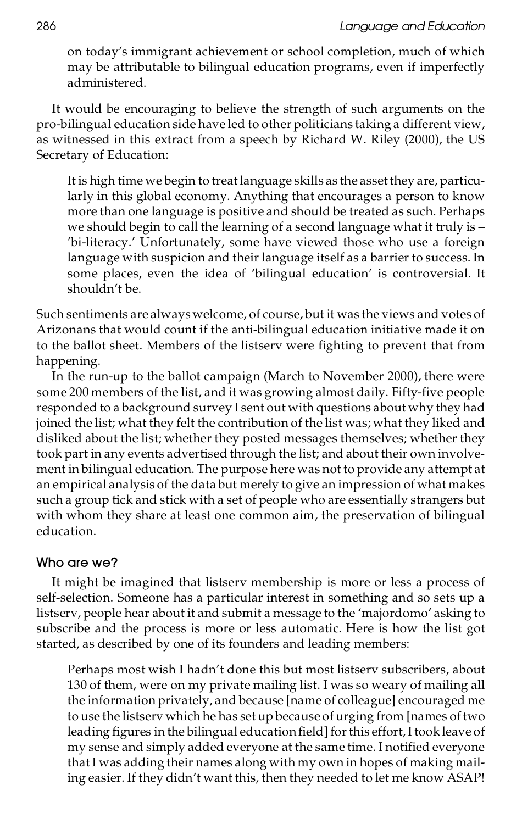on today's immigrant achievement or school completion, much of which may be attributable to bilingual education programs, even if imperfectly administered.

It would be encouraging to believe the strength of such arguments on the pro-bilingual education side have led to other politicians taking a different view, as witnessed in this extract from a speech by Richard W. Riley (2000), the US Secretary of Education:

It is high time we begin to treat language skills as the asset they are, particularly in this global economy. Anything that encourages a person to know more than one language is positive and should be treated as such. Perhaps we should begin to call the learning of a second language what it truly is – 'bi-literacy.' Unfortunately, some have viewed those who use a foreign language with suspicion and their language itself as a barrier to success. In some places, even the idea of 'bilingual education' is controversial. It shouldn't be.

Such sentiments are always welcome, of course, but it was the views and votes of Arizonans that would count if the anti-bilingual education initiative made it on to the ballot sheet. Members of the listserv were fighting to prevent that from happening.

In the run-up to the ballot campaign (March to November 2000), there were some 200 members of the list, and it was growing almost daily. Fifty-five people responded to a background survey I sent out with questions about why they had joined the list; what they felt the contribution of the list was; what they liked and disliked about the list; whether they posted messages themselves; whether they took part in any events advertised through the list; and about their own involvement in bilingual education. The purpose here was not to provide any attempt at an empirical analysis of the data but merely to give an impression of what makes such a group tick and stick with a set of people who are essentially strangers but with whom they share at least one common aim, the preservation of bilingual education.

#### Who are we?

It might be imagined that listserv membership is more or less a process of self-selection. Someone has a particular interest in something and so sets up a listserv, people hear about it and submit a message to the 'majordomo' asking to subscribe and the process is more or less automatic. Here is how the list got started, as described by one of its founders and leading members:

Perhaps most wish I hadn't done this but most listserv subscribers, about 130 of them, were on my private mailing list. I was so weary of mailing all the information privately, and because [name of colleague] encouraged me to use the listserv which he has set up because of urging from [names of two leading figures in the bilingual education field] for this effort, I took leave of my sense and simply added everyone at the same time. I notified everyone that I was adding their names along with my own in hopes of making mailing easier. If they didn't want this, then they needed to let me know ASAP!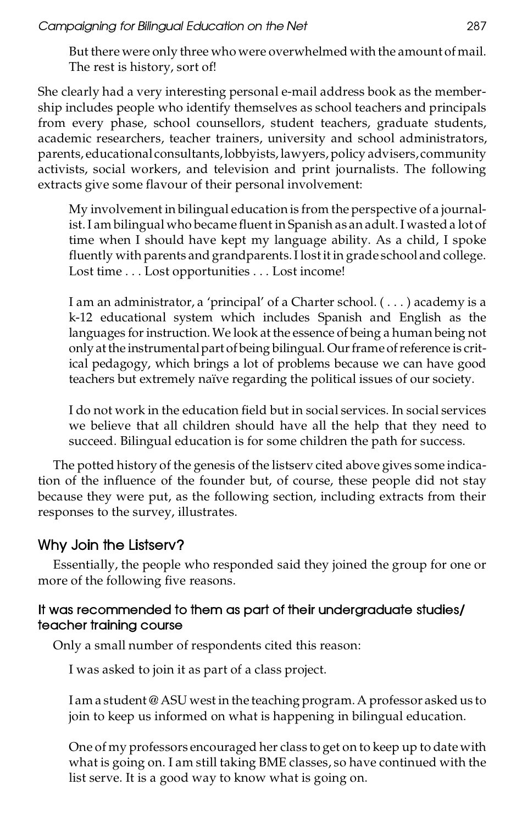But there were only three who were overwhelmed with the amount of mail. The rest is history, sort of!

She clearly had a very interesting personal e-mail address book as the membership includes people who identify themselves as school teachers and principals from every phase, school counsellors, student teachers, graduate students, academic researchers, teacher trainers, university and school administrators, parents, educational consultants, lobbyists, lawyers, policy advisers, community activists, social workers, and television and print journalists. The following extracts give some flavour of their personal involvement:

My involvement in bilingual education is from the perspective of a journalist.I am bilingual who became fluent in Spanish as an adult.I wasteda lot of time when I should have kept my language ability. As a child, I spoke fluently with parents and grandparents.I lostit in grade school and college. Lost time . . . Lost opportunities . . . Lost income!

I am an administrator, a 'principal' of a Charter school. ( . . . ) academy is a k-12 educational system which includes Spanish and English as the languages for instruction. We look at the essence of being a human being not only at the instrumental part of being bilingual. Our frame of reference is critical pedagogy, which brings a lot of problems because we can have good teachers but extremely naïve regarding the political issues of our society.

I do not work in the education field but in social services. In social services we believe that all children should have all the help that they need to succeed. Bilingual education is for some children the path for success.

The potted history of the genesis of the listserv cited above gives some indication of the influence of the founder but, of course, these people did not stay because they were put, as the following section, including extracts from their responses to the survey, illustrates.

# Why Join the Listserv?

Essentially, the people who responded said they joined the group for one or more of the following five reasons.

# It was recommended to them as part of their undergraduate studies/ teacher training course

Only a small number of respondents cited this reason:

I was asked to join it as part of a class project.

I am a student @ ASU west in the teaching program.A professor asked us to join to keep us informed on what is happening in bilingual education.

One of my professors encouraged her class to get on to keep up to date with what is going on. I am still taking BME classes, so have continued with the list serve. It is a good way to know what is going on.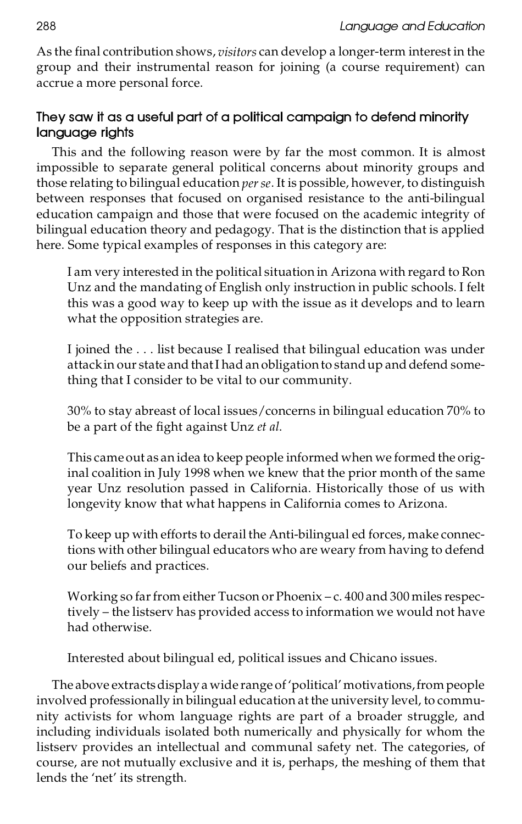As the final contribution shows, *visitors* can develop a longer-term interest in the group and their instrumental reason for joining (a course requirement) can accrue a more personal force.

# They saw it as a useful part of a political campaign to defend minority language rights

This and the following reason were by far the most common. It is almost impossible to separate general political concerns about minority groups and those relating to bilingual education *perse*. It is possible, however, to distinguish between responses that focused on organised resistance to the anti-bilingual education campaign and those that were focused on the academic integrity of bilingual education theory and pedagogy. That is the distinction that is applied here. Some typical examples of responses in this category are:

I am very interested in the political situation in Arizona with regard to Ron Unz and the mandating of English only instruction in public schools. I felt this was a good way to keep up with the issue as it develops and to learn what the opposition strategies are.

I joined the . . . list because I realised that bilingual education was under attackin our state and thatI had anobligationto standup and defend something that I consider to be vital to our community.

30% to stay abreast of local issues/concerns in bilingual education 70% to be a part of the fight against Unz *et al*.

This cameout as an idea to keep people informed when we formed the original coalition in July 1998 when we knew that the prior month of the same year Unz resolution passed in California. Historically those of us with longevity know that what happens in California comes to Arizona.

To keep up with efforts to derail the Anti-bilingual ed forces, make connections with other bilingual educators who are weary from having to defend our beliefs and practices.

Working so far from either Tucson or Phoenix – c. 400 and 300 miles respectively – the listserv has provided access to information we would not have had otherwise.

Interested about bilingual ed, political issues and Chicano issues.

The above extracts display a wide range of 'political' motivations, from people involved professionally in bilingual education at the university level, to community activists for whom language rights are part of a broader struggle, and including individuals isolated both numerically and physically for whom the listserv provides an intellectual and communal safety net. The categories, of course, are not mutually exclusive and it is, perhaps, the meshing of them that lends the 'net' its strength.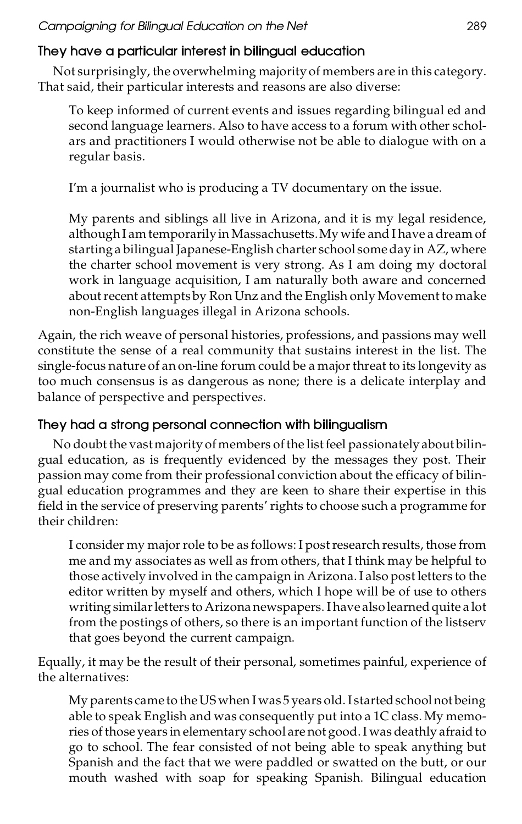# They have a particular interest in bilingual education

Not surprisingly, the overwhelming majority of members are in this category. That said, their particular interests and reasons are also diverse:

To keep informed of current events and issues regarding bilingual ed and second language learners. Also to have access to a forum with other scholars and practitioners I would otherwise not be able to dialogue with on a regular basis.

I'm a journalist who is producing a TV documentary on the issue.

My parents and siblings all live in Arizona, and it is my legal residence, although I am temporarily in Massachusetts. My wife and I have a dream of startinga bilingual Japanese-English charter school some day in AZ, where the charter school movement is very strong. As I am doing my doctoral work in language acquisition, I am naturally both aware and concerned about recent attempts by Ron Unz and the English only Movement to make non-English languages illegal in Arizona schools.

Again, the rich weave of personal histories, professions, and passions may well constitute the sense of a real community that sustains interest in the list. The single-focus nature of an on-line forum could be a majorthreat to its longevity as too much consensus is as dangerous as none; there is a delicate interplay and balance of perspective and perspective*s*.

# They had a strong personal connection with bilingualism

No doubt the vast majority of members of the list feel passionately about bilingual education, as is frequently evidenced by the messages they post. Their passion may come from their professional conviction about the efficacy of bilingual education programmes and they are keen to share their expertise in this field in the service of preserving parents'rights to choose such a programme for their children:

I consider my major role to be as follows: I postresearch results, those from me and my associates as well as from others, that I think may be helpful to those actively involved in the campaign in Arizona.I also post letters to the editor written by myself and others, which I hope will be of use to others writing similar letters to Arizona newspapers. I have also learned quite a lot from the postings of others, so there is an important function of the listserv that goes beyond the current campaign.

Equally, it may be the result of their personal, sometimes painful, experience of the alternatives:

My parents came to the US when I was 5 years old. I started school not being able to speak English and was consequently put into a 1C class. My memories of those years in elementary school are not good. I was deathly afraid to go to school. The fear consisted of not being able to speak anything but Spanish and the fact that we were paddled or swatted on the butt, or our mouth washed with soap for speaking Spanish. Bilingual education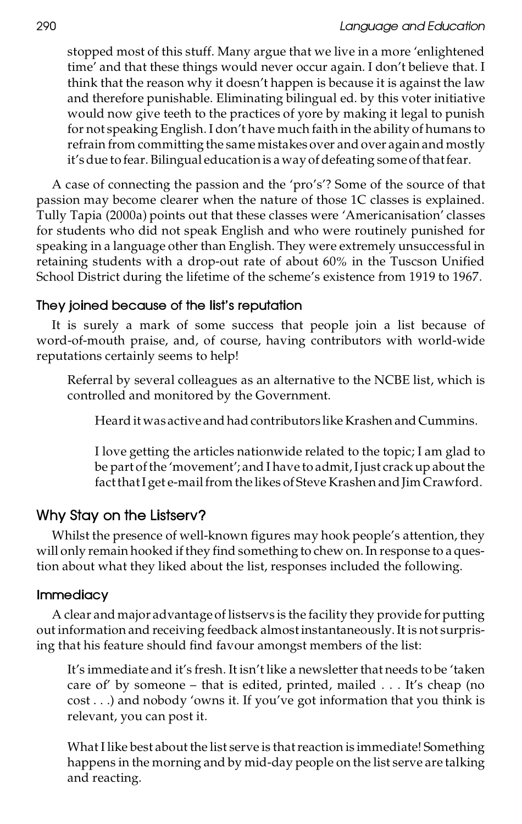stopped most of this stuff. Many argue that we live in a more 'enlightened time' and that these things would never occur again. I don't believe that. I think that the reason why it doesn't happen is because it is against the law and therefore punishable. Eliminating bilingual ed. by this voter initiative would now give teeth to the practices of yore by making it legal to punish for not speaking English. I don't have much faith in the ability of humans to refrain from committing the same mistakes over and over again and mostly it's due to fear. Bilingual education is a way of defeating some of that fear.

A case of connecting the passion and the 'pro's'? Some of the source of that passion may become clearer when the nature of those 1C classes is explained. Tully Tapia (2000a) points out that these classes were 'Americanisation' classes for students who did not speak English and who were routinely punished for speaking in a language other than English. They were extremely unsuccessful in retaining students with a drop-out rate of about 60*%* in the Tuscson Unified School District during the lifetime of the scheme's existence from 1919 to 1967.

# They joined because of the list's reputation

It is surely a mark of some success that people join a list because of word-of-mouth praise, and, of course, having contributors with world-wide reputations certainly seems to help!

Referral by several colleagues as an alternative to the NCBE list, which is controlled and monitored by the Government.

Heard it wasactive and had contributors like Krashen and Cummins.

I love getting the articles nationwide related to the topic; I am glad to be part of the 'movement'; and I have to admit, I just crack up about the fact that I get e-mail from the likes of Steve Krashen and Jim Crawford.

# Why Stay on the Listserv?

Whilst the presence of well-known figures may hook people's attention, they will only remain hooked if they find something to chew on. In response to a question about what they liked about the list, responses included the following.

# Immediacy

A clear and major advantage of listservs is the facility they provide for putting out information and receiving feedback almostinstantaneously.It is not surprising that his feature should find favour amongst members of the list:

It's immediate and it's fresh. It isn't like a newsletter that needs to be 'taken care of' by someone – that is edited, printed, mailed . . . It's cheap (no cost . . .) and nobody 'owns it. If you've got information that you think is relevant, you can post it.

What I like best about the list serve is thatreaction is immediate! Something happens in the morning and by mid-day people on the list serve are talking and reacting.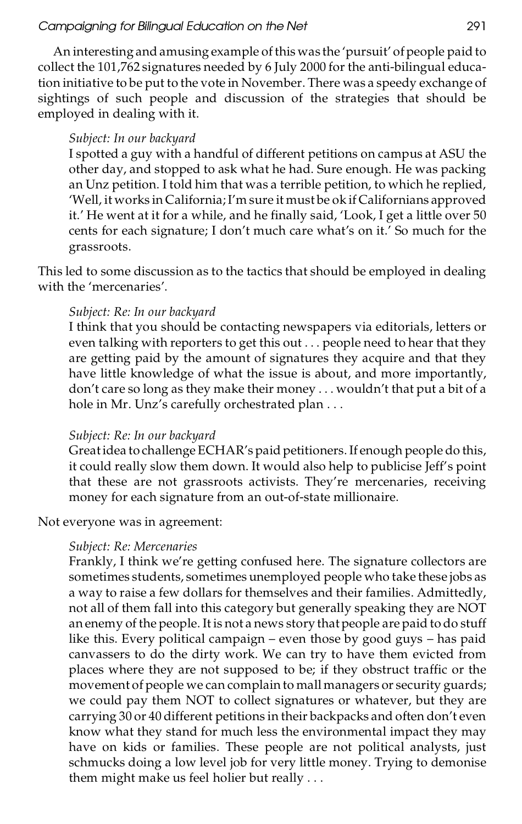An interesting and amusing example of this was the 'pursuit' of people paid to collect the 101,762 signatures needed by 6 July 2000 for the anti-bilingual education initiative to be put to the vote in November. There was a speedy exchange of sightings of such people and discussion of the strategies that should be employed in dealing with it.

#### *Subject: In our backyard*

I spotted a guy with a handful of different petitions on campus at ASU the other day, and stopped to ask what he had. Sure enough. He was packing an Unz petition. I told him that was a terrible petition, to which he replied, 'Well, it works in California;I'm sure it must be ok if Californians approved it.' He went at it for a while, and he finally said, 'Look, I get a little over 50 cents for each signature; I don't much care what's on it.' So much for the grassroots.

This led to some discussion as to the tactics that should be employed in dealing with the 'mercenaries'.

#### *Subject: Re: In our backyard*

I think that you should be contacting newspapers via editorials, letters or even talking with reporters to get this out . . . people need to hear that they are getting paid by the amount of signatures they acquire and that they have little knowledge of what the issue is about, and more importantly, don't care so long as they make their money . . . wouldn't that put a bit of a hole in Mr. Unz's carefully orchestrated plan . . .

#### *Subject: Re: In our backyard*

Greatidea to challenge ECHAR's paid petitioners.If enough people do this, it could really slow them down. It would also help to publicise Jeff's point that these are not grassroots activists. They're mercenaries, receiving money for each signature from an out-of-state millionaire.

Not everyone was in agreement:

#### *Subject: Re: Mercenaries*

Frankly, I think we're getting confused here. The signature collectors are sometimes students, sometimes unemployed people who take these jobs as a way to raise a few dollars for themselves and their families. Admittedly, not all of them fall into this category but generally speaking they are NOT an enemy of the people. It is not a news story that people are paid to do stuff like this. Every political campaign – even those by good guys – has paid canvassers to do the dirty work. We can try to have them evicted from places where they are not supposed to be; if they obstruct traffic or the movement of people we can complain to mall managers or security guards; we could pay them NOT to collect signatures or whatever, but they are carrying 30 or 40 different petitions in their backpacks and often don't even know what they stand for much less the environmental impact they may have on kids or families. These people are not political analysts, just schmucks doing a low level job for very little money. Trying to demonise them might make us feel holier but really . . .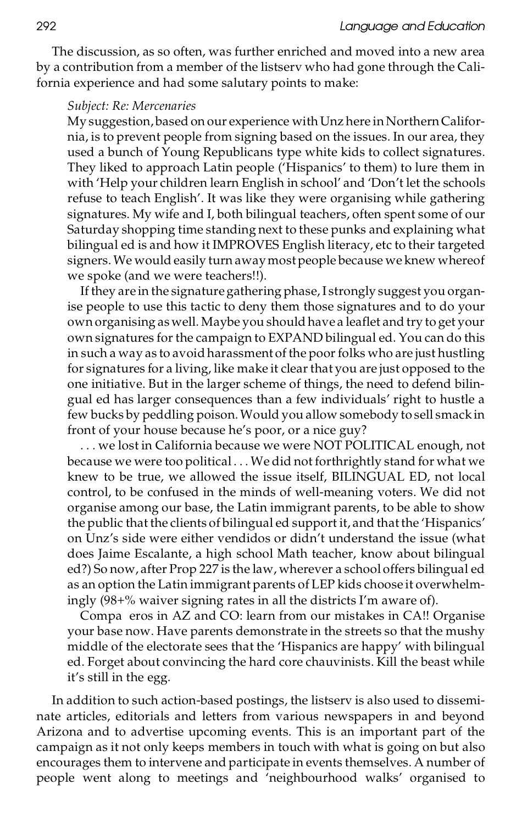The discussion, as so often, was further enriched and moved into a new area by a contribution from a member of the listserv who had gone through the California experience and had some salutary points to make:

#### *Subject: Re: Mercenaries*

My suggestion,based on our experience with Unz here in Northern California, is to prevent people from signing based on the issues. In our area, they used a bunch of Young Republicans type white kids to collect signatures. They liked to approach Latin people ('Hispanics' to them) to lure them in with 'Help your children learn English in school' and 'Don't let the schools refuse to teach English'. It was like they were organising while gathering signatures. My wife and I, both bilingual teachers, often spent some of our Saturday shopping time standing next to these punks and explaining what bilingual ed is and how it IMPROVES English literacy, etc to their targeted signers. We would easily turn away most people because we knew whereof we spoke (and we were teachers!!).

If they are in the signature gathering phase, I strongly suggest you organise people to use this tactic to deny them those signatures and to do your own organising as well. Maybe you should have a leaflet and try to get your own signatures forthe campaign to EXPAND bilingual ed. You can do this in such a way as to avoid harassment of the poor folks who are just hustling for signatures for a living, like make it clearthat you are just opposed to the one initiative. But in the larger scheme of things, the need to defend bilingual ed has larger consequences than a few individuals' right to hustle a few bucks by peddling poison.Would you allow somebody to sell smack in front of your house because he's poor, or a nice guy?

. . . we lost in California because we were NOT POLITICAL enough, not because we were too political . . . We did not forthrightly stand for what we knew to be true, we allowed the issue itself, BILINGUAL ED, not local control, to be confused in the minds of well-meaning voters. We did not organise among our base, the Latin immigrant parents, to be able to show the public that the clients of bilingual ed support it, and thatthe 'Hispanics' on Unz's side were either vendidos or didn't understand the issue (what does Jaime Escalante, a high school Math teacher, know about bilingual ed?) So now, after Prop 227 is the law, wherever a school offers bilingual ed as an option the Latin immigrant parents of LEP kids choose it overwhelmingly (98+% waiver signing rates in all the districts I'm aware of).

Compa eros in AZ and CO: learn from our mistakes in CA!! Organise your base now. Have parents demonstrate in the streets so that the mushy middle of the electorate sees that the 'Hispanics are happy' with bilingual ed. Forget about convincing the hard core chauvinists. Kill the beast while it's still in the egg.

In addition to such action-based postings, the listserv is also used to disseminate articles, editorials and letters from various newspapers in and beyond Arizona and to advertise upcoming events. This is an important part of the campaign as it not only keeps members in touch with what is going on but also encourages them to intervene and participate in events themselves. A number of people went along to meetings and 'neighbourhood walks' organised to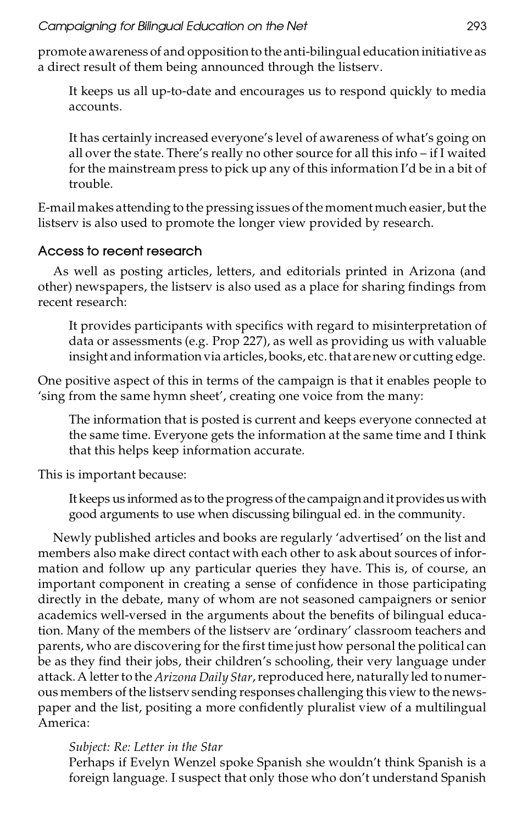promote awareness of and opposition to the anti-bilingual education initiative as a direct result of them being announced through the listserv.

It keeps us all up-to-date and encourages us to respond quickly to media accounts.

It has certainly increased everyone's level of awareness of what's going on all over the state. There's really no other source for all this info – if I waited for the mainstream press to pick up any of this information I'd be in a bit of trouble.

E-mailmakes attending to the pressing issues ofthe moment much easier, but the listserv is also used to promote the longer view provided by research.

# Access to recent research

As well as posting articles, letters, and editorials printed in Arizona (and other) newspapers, the listserv is also used as a place for sharing findings from recent research:

It provides participants with specifics with regard to misinterpretation of data or assessments (e.g. Prop 227), as well as providing us with valuable insight and information via articles, books, etc. that are new or cutting edge.

One positive aspect of this in terms of the campaign is that it enables people to 'sing from the same hymn sheet', creating one voice from the many:

The information that is posted is current and keeps everyone connected at the same time. Everyone gets the information at the same time and I think that this helps keep information accurate.

This is important because:

It keeps us informed as to the progress of the campaign and it provides us with good arguments to use when discussing bilingual ed. in the community.

Newly published articles and books are regularly 'advertised' on the list and members also make direct contact with each other to ask about sources of information and follow up any particular queries they have. This is, of course, an important component in creating a sense of confidence in those participating directly in the debate, many of whom are not seasoned campaigners or senior academics well-versed in the arguments about the benefits of bilingual education. Many of the members of the listserv are 'ordinary' classroom teachers and parents, who are discovering for the first time just how personal the political can be as they find their jobs, their children's schooling, their very language under attack. A letter to the *Arizona Daily Star*, reproduced here, naturally led to numerous members of the listserv sending responses challenging this view to the newspaper and the list, positing a more confidently pluralist view of a multilingual America:

# *Subject: Re: Letter in the Star*

Perhaps if Evelyn Wenzel spoke Spanish she wouldn't think Spanish is a foreign language. I suspect that only those who don't understand Spanish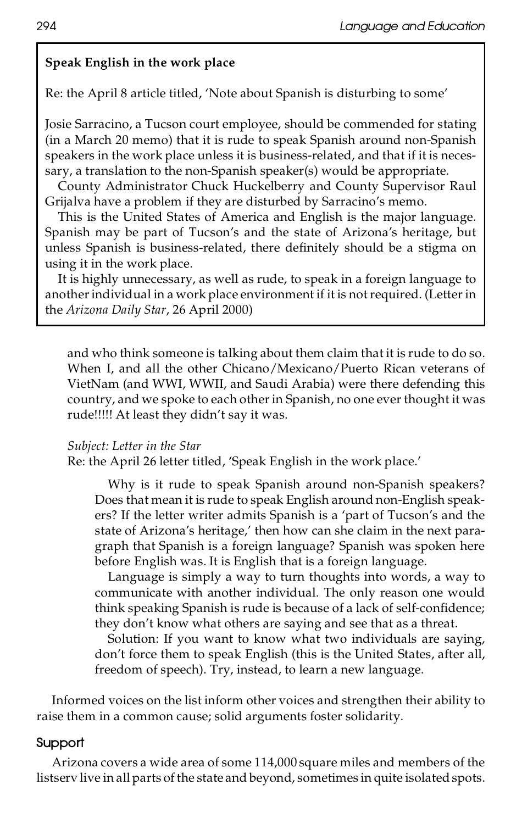# **Speak English in the work place**

Re: the April 8 article titled, 'Note about Spanish is disturbing to some'

Josie Sarracino, a Tucson court employee, should be commended for stating (in a March 20 memo) that it is rude to speak Spanish around non-Spanish speakers in the work place unless it is business-related, and that if it is necessary, a translation to the non-Spanish speaker(s) would be appropriate.

County Administrator Chuck Huckelberry and County Supervisor Raul Grijalva have a problem if they are disturbed by Sarracino's memo.

This is the United States of America and English is the major language. Spanish may be part of Tucson's and the state of Arizona's heritage, but unless Spanish is business-related, there definitely should be a stigma on using it in the work place.

It is highly unnecessary, as well as rude, to speak in a foreign language to another individual in a work place environment if it is not required. (Letter in the *Arizona Daily Star*, 26 April 2000)

and who think someone is talking about them claim that it is rude to do so. When I, and all the other Chicano/Mexicano/Puerto Rican veterans of VietNam (and WWI, WWII, and Saudi Arabia) were there defending this country, and we spoke to each otherin Spanish, no one ever thought it was rude!!!!! At least they didn't say it was.

#### *Subject: Letter in the Star*

Re: the April 26 letter titled, 'Speak English in the work place.'

Why is it rude to speak Spanish around non-Spanish speakers? Does that mean it is rude to speak English around non-English speakers? If the letter writer admits Spanish is a 'part of Tucson's and the state of Arizona's heritage,' then how can she claim in the next paragraph that Spanish is a foreign language? Spanish was spoken here before English was. It is English that is a foreign language.

Language is simply a way to turn thoughts into words, a way to communicate with another individual. The only reason one would think speaking Spanish is rude is because of a lack of self-confidence; they don't know what others are saying and see that as a threat.

Solution: If you want to know what two individuals are saying, don't force them to speak English (this is the United States, after all, freedom of speech). Try, instead, to learn a new language.

Informed voices on the list inform other voices and strengthen their ability to raise them in a common cause; solid arguments foster solidarity.

### Support

Arizona covers a wide area of some 114,000 square miles and members of the listserv live in all parts of the state and beyond, sometimes in quite isolated spots.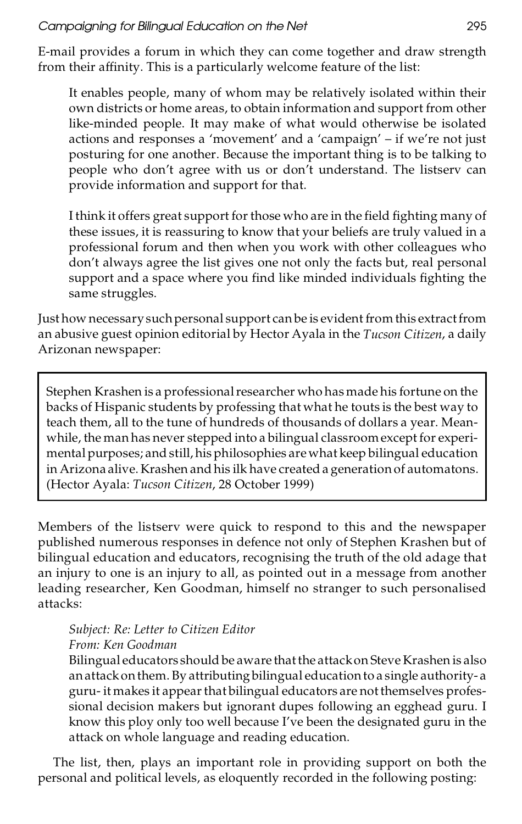E-mail provides a forum in which they can come together and draw strength from their affinity. This is a particularly welcome feature of the list:

It enables people, many of whom may be relatively isolated within their own districts or home areas, to obtain information and support from other like-minded people. It may make of what would otherwise be isolated actions and responses a 'movement' and a 'campaign' – if we're not just posturing for one another. Because the important thing is to be talking to people who don't agree with us or don't understand. The listserv can provide information and support for that.

I think it offers great support for those who are in the field fighting many of these issues, it is reassuring to know that your beliefs are truly valued in a professional forum and then when you work with other colleagues who don't always agree the list gives one not only the facts but, real personal support and a space where you find like minded individuals fighting the same struggles.

Just how necessary such personal support can be is evident from this extract from an abusive guest opinion editorial by Hector Ayala in the *Tucson Citizen*, a daily Arizonan newspaper:

Stephen Krashen is a professional researcher who has made his fortune on the backs of Hispanic students by professing that what he touts is the best way to teach them, all to the tune of hundreds of thousands of dollars a year. Meanwhile, the man has never stepped into a bilingual classroomexcept for experimental purposes; and still, his philosophies arewhat keep bilingual education in Arizona alive. Krashen and his ilk have created a generationof automatons. (Hector Ayala: *Tucson Citizen*, 28 October 1999)

Members of the listserv were quick to respond to this and the newspaper published numerous responses in defence not only of Stephen Krashen but of bilingual education and educators, recognising the truth of the old adage that an injury to one is an injury to all, as pointed out in a message from another leading researcher, Ken Goodman, himself no stranger to such personalised attacks:

# *Subject: Re: Letter to Citizen Editor*

### *From: Ken Goodman*

Bilingual educators should be aware thatthe attackon Steve Krashen is also anattackonthem. By attributing bilingual educationto a single authority- a guru- it makes it appear that bilingual educators are not themselves professional decision makers but ignorant dupes following an egghead guru. I know this ploy only too well because I've been the designated guru in the attack on whole language and reading education.

The list, then, plays an important role in providing support on both the personal and political levels, as eloquently recorded in the following posting: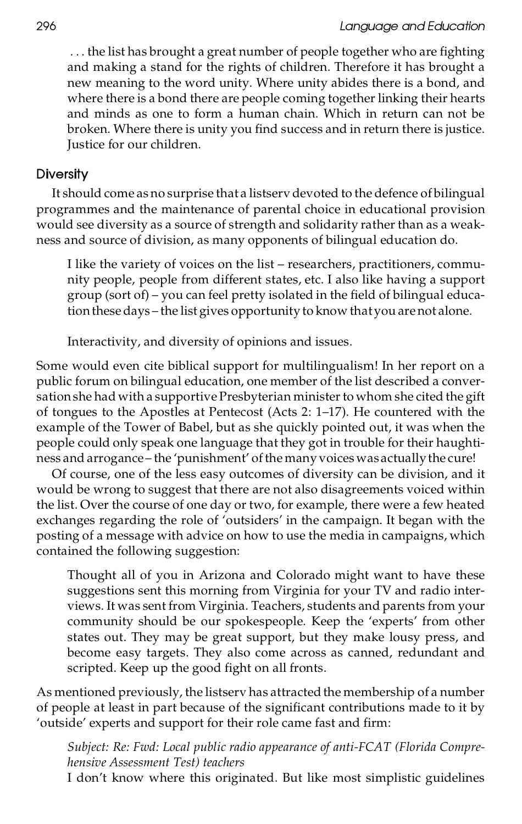. . . the list has brought a great number of people together who are fighting and making a stand for the rights of children. Therefore it has brought a new meaning to the word unity. Where unity abides there is a bond, and where there is a bond there are people coming together linking their hearts and minds as one to form a human chain. Which in return can not be broken. Where there is unity you find success and in return there is justice. Justice for our children.

### **Diversity**

It should come as no surprise that a listservdevoted to the defence of bilingual programmes and the maintenance of parental choice in educational provision would see diversity as a source of strength and solidarity rather than as a weak ness and source of division, as many opponents of bilingual education do.

I like the variety of voices on the list – researchers, practitioners, community people, people from different states, etc. I also like having a support group (sort of) – you can feel pretty isolated in the field of bilingual educationthesedays – the list gives opportunity to know thatyou arenot alone.

Interactivity, and diversity of opinions and issues.

Some would even cite biblical support for multilingualism! In her report on a public forum on bilingual education, one member of the list described a conversation she had with a supportive Presbyterian minister to whom she cited the gift of tongues to the Apostles at Pentecost (Acts 2: 1–17). He countered with the example of the Tower of Babel, but as she quickly pointed out, it was when the people could only speak one language that they got in trouble for their haughtiness and arrogance– the 'punishment' ofthe manyvoices wasactuallythe cure!

Of course, one of the less easy outcomes of diversity can be division, and it would be wrong to suggest that there are not also disagreements voiced within the list. Over the course of one day or two, for example, there were a few heated exchanges regarding the role of 'outsiders' in the campaign. It began with the posting of a message with advice on how to use the media in campaigns, which contained the following suggestion:

Thought all of you in Arizona and Colorado might want to have these suggestions sent this morning from Virginia for your TV and radio interviews. It was sent from Virginia. Teachers, students and parents from your community should be our spokespeople. Keep the 'experts' from other states out. They may be great support, but they make lousy press, and become easy targets. They also come across as canned, redundant and scripted. Keep up the good fight on all fronts.

As mentioned previously, the listserv has attracted the membership of a number of people at least in part because of the significant contributions made to it by 'outside' experts and support for their role came fast and firm:

*Subject: Re: Fwd: Local public radio appearance of anti-FCAT (Florida Comprehensive Assessment Test) teachers*

I don't know where this originated. But like most simplistic guidelines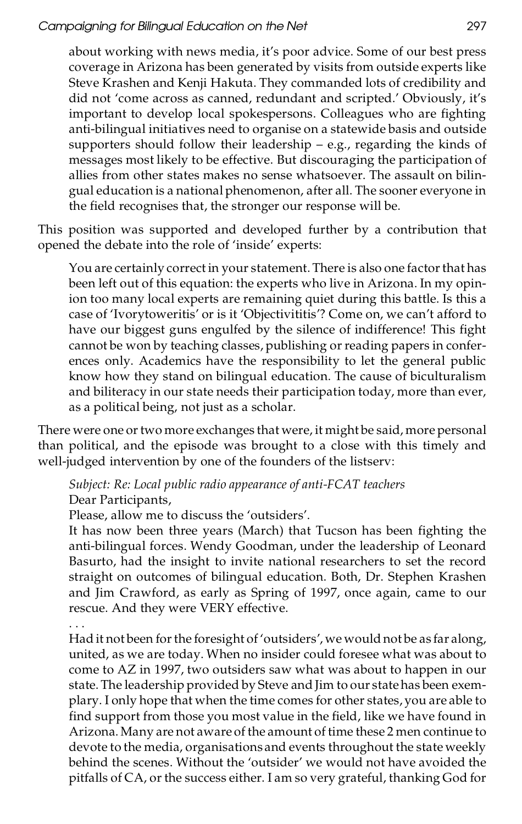about working with news media, it's poor advice. Some of our best press coverage in Arizona has been generated by visits from outside experts like Steve Krashen and Kenji Hakuta. They commanded lots of credibility and did not 'come across as canned, redundant and scripted.' Obviously, it's important to develop local spokespersons. Colleagues who are fighting anti-bilingual initiatives need to organise on a statewide basis and outside supporters should follow their leadership – e.g., regarding the kinds of messages most likely to be effective. But discouraging the participation of allies from other states makes no sense whatsoever. The assault on bilingual education is a national phenomenon, after all. The sooner everyone in the field recognises that, the stronger our response will be.

This position was supported and developed further by a contribution that opened the debate into the role of 'inside' experts:

You are certainly correct in your statement. There is also one factor that has been left out of this equation: the experts who live in Arizona. In my opinion too many local experts are remaining quiet during this battle. Is this a case of 'Ivorytoweritis' or is it 'Objectivititis'? Come on, we can't afford to have our biggest guns engulfed by the silence of indifference! This fight cannot be won by teaching classes, publishing or reading papers in conferences only. Academics have the responsibility to let the general public know how they stand on bilingual education. The cause of biculturalism and biliteracy in our state needs their participation today, more than ever, as a political being, not just as a scholar.

There were one or two more exchanges that were, it might be said, more personal than political, and the episode was brought to a close with this timely and well-judged intervention by one of the founders of the listserv:

### *Subject: Re: Local public radio appearance of anti-FCAT teachers* Dear Participants,

Please, allow me to discuss the 'outsiders'.

It has now been three years (March) that Tucson has been fighting the anti-bilingual forces. Wendy Goodman, under the leadership of Leonard Basurto, had the insight to invite national researchers to set the record straight on outcomes of bilingual education. Both, Dr. Stephen Krashen and Jim Crawford, as early as Spring of 1997, once again, came to our rescue. And they were VERY effective.

. . .

Had it not been for the foresight of 'outsiders', we would not be as far along, united, as we are today. When no insider could foresee what was about to come to AZ in 1997, two outsiders saw what was about to happen in our state. The leadership provided by Steve and Jim to our state has been exemplary. I only hope that when the time comes for other states, you are able to find support from those you most value in the field, like we have found in Arizona. Many are not aware of the amount of time these 2 men continue to devote to the media, organisations and events throughout the state weekly behind the scenes. Without the 'outsider' we would not have avoided the pitfalls of CA, or the success either. I am so very grateful, thanking God for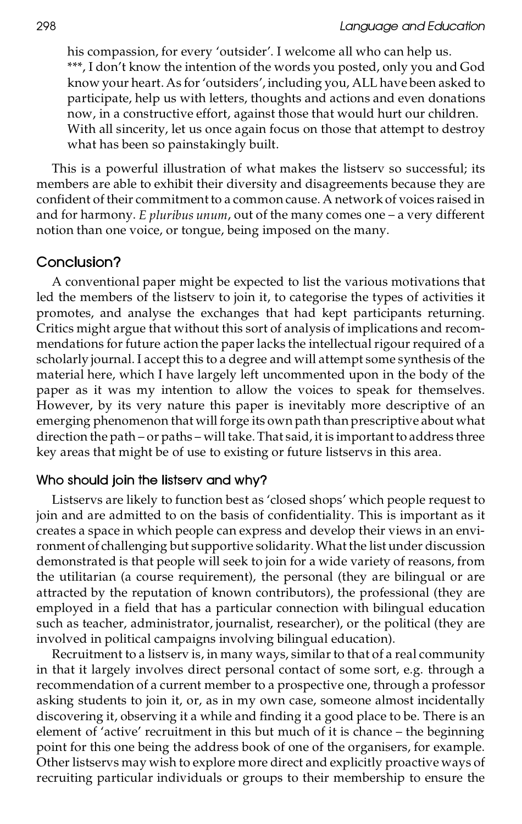his compassion, for every 'outsider'. I welcome all who can help us. \*\*\*, I don't know the intention of the words you posted, only you and God know your heart.As for'outsiders', including you, ALL have been asked to participate, help us with letters, thoughts and actions and even donations now, in a constructive effort, against those that would hurt our children. With all sincerity, let us once again focus on those that attempt to destroy what has been so painstakingly built.

This is a powerful illustration of what makes the listserv so successful; its members are able to exhibit their diversity and disagreements because they are confident of their commitment to a common cause. A network of voices raised in and for harmony. *E pluribus unum*, out of the many comes one – a very different notion than one voice, or tongue, being imposed on the many.

# Conclusion?

A conventional paper might be expected to list the various motivations that led the members of the listserv to join it, to categorise the types of activities it promotes, and analyse the exchanges that had kept participants returning. Critics might argue that without this sort of analysis of implications and recommendations for future action the paper lacks the intellectual rigour required of a scholarly journal. I accept this to a degree and will attempt some synthesis of the material here, which I have largely left uncommented upon in the body of the paper as it was my intention to allow the voices to speak for themselves. However, by its very nature this paper is inevitably more descriptive of an emerging phenomenon that will forge its own path than prescriptive about what direction the path – or paths – will take. That said, it is important to address three key areas that might be of use to existing or future listservs in this area.

### Who should join the listserv and why?

Listservs are likely to function best as 'closed shops' which people request to join and are admitted to on the basis of confidentiality. This is important as it creates a space in which people can express and develop their views in an environment of challenging but supportive solidarity.What the list under discussion demonstrated is that people will seek to join for a wide variety of reasons, from the utilitarian (a course requirement), the personal (they are bilingual or are attracted by the reputation of known contributors), the professional (they are employed in a field that has a particular connection with bilingual education such as teacher, administrator, journalist, researcher), or the political (they are involved in political campaigns involving bilingual education).

Recruitment to a listserv is, in many ways, similar to that of a real community in that it largely involves direct personal contact of some sort, e.g. through a recommendation of a current member to a prospective one, through a professor asking students to join it, or, as in my own case, someone almost incidentally discovering it, observing it a while and finding it a good place to be. There is an element of 'active' recruitment in this but much of it is chance – the beginning point for this one being the address book of one of the organisers, for example. Other listservs may wish to explore more direct and explicitly proactive ways of recruiting particular individuals or groups to their membership to ensure the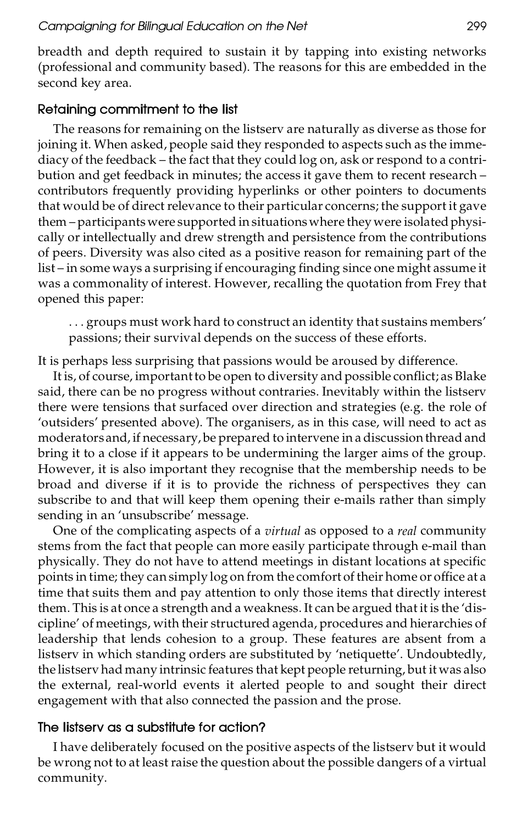breadth and depth required to sustain it by tapping into existing networks (professional and community based). The reasons for this are embedded in the second key area.

#### Retaining commitment to the list

The reasons for remaining on the listserv are naturally as diverse as those for joining it. When asked, people said they responded to aspects such as the immediacy of the feedback – the fact that they could log on, ask or respond to a contribution and get feedback in minutes; the access it gave them to recent research – contributors frequently providing hyperlinks or other pointers to documents that would be of direct relevance to their particular concerns; the support it gave them – participants were supported in situations where they were isolated physically or intellectually and drew strength and persistence from the contributions of peers. Diversity was also cited as a positive reason for remaining part of the list – in some ways a surprising if encouraging finding since one might assume it was a commonality of interest. However, recalling the quotation from Frey that opened this paper:

. . . groups must work hard to construct an identity that sustains members' passions; their survival depends on the success of these efforts.

It is perhaps less surprising that passions would be aroused by difference.

It is, of course, importantto be open to diversity and possible conflict; as Blake said, there can be no progress without contraries. Inevitably within the listserv there were tensions that surfaced over direction and strategies (e.g. the role of 'outsiders' presented above). The organisers, as in this case, will need to act as moderatorsand, if necessary, be prepared to intervene in a discussionthread and bring it to a close if it appears to be undermining the larger aims of the group. However, it is also important they recognise that the membership needs to be broad and diverse if it is to provide the richness of perspectives they can subscribe to and that will keep them opening their e-mails rather than simply sending in an 'unsubscribe' message.

One of the complicating aspects of a *virtual* as opposed to a *real* community stems from the fact that people can more easily participate through e-mail than physically. They do not have to attend meetings in distant locations at specific points in time; they can simply log on from the comfort of their home or office at a time that suits them and pay attention to only those items that directly interest them. This is at once a strength and a weakness. It can be argued that it is the 'discipline' of meetings, with their structured agenda, procedures and hierarchies of leadership that lends cohesion to a group. These features are absent from a listserv in which standing orders are substituted by 'netiquette'. Undoubtedly, the listserv had many intrinsic features that kept people returning, but it was also the external, real-world events it alerted people to and sought their direct engagement with that also connected the passion and the prose.

#### The listserv as a substitute for action?

I have deliberately focused on the positive aspects of the listserv but it would be wrong not to at least raise the question about the possible dangers of a virtual community.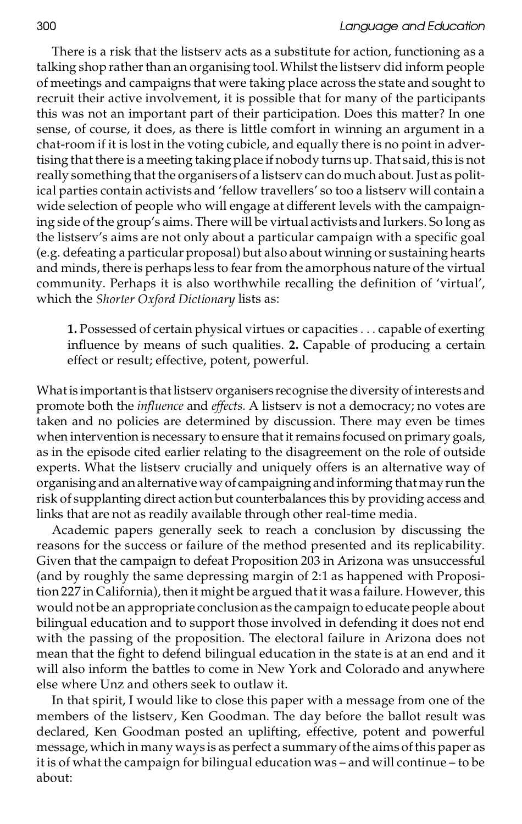There is a risk that the listserv acts as a substitute for action, functioning as a talking shop rather than an organising tool. Whilst the listserv did inform people of meetings and campaigns that were taking place across the state and sought to recruit their active involvement, it is possible that for many of the participants this was not an important part of their participation. Does this matter? In one sense, of course, it does, as there is little comfort in winning an argument in a chat-room if it is lost in the voting cubicle, and equally there is no point in advertising that there is a meeting taking place if nobody turns up. That said, this is not really something that the organisers of a listserv can do much about. Just as political parties contain activists and 'fellow travellers' so too a listserv will contain a wide selection of people who will engage at different levels with the campaigning side of the group's aims. There will be virtual activists and lurkers. So long as the listserv's aims are not only about a particular campaign with a specific goal (e.g. defeating a particular proposal) but also about winning or sustaining hearts and minds, there is perhaps less to fear from the amorphous nature of the virtual community. Perhaps it is also worthwhile recalling the definition of 'virtual', which the *Shorter Oxford Dictionary* lists as:

**1.** Possessed of certain physical virtues or capacities . . . capable of exerting influence by means of such qualities. **2.** Capable of producing a certain effect or result; effective, potent, powerful.

What is important is that listserv organisers recognise the diversity of interests and promote both the *influence* and *effects.* A listserv is not a democracy; no votes are taken and no policies are determined by discussion. There may even be times when intervention is necessary to ensure that it remains focused on primary goals, as in the episode cited earlier relating to the disagreement on the role of outside experts. What the listserv crucially and uniquely offers is an alternative way of organising and analternative way of campaigning andinforming thatmayrun the risk of supplanting direct action but counterbalances this by providing access and links that are not as readily available through other real-time media.

Academic papers generally seek to reach a conclusion by discussing the reasons for the success or failure of the method presented and its replicability. Given that the campaign to defeat Proposition 203 in Arizona was unsuccessful (and by roughly the same depressing margin of 2:1 as happened with Proposition 227 in California), then it might be argued that it was a failure. However, this would not be an appropriate conclusion as the campaign to educate people about bilingual education and to support those involved in defending it does not end with the passing of the proposition. The electoral failure in Arizona does not mean that the fight to defend bilingual education in the state is at an end and it will also inform the battles to come in New York and Colorado and anywhere else where Unz and others seek to outlaw it.

In that spirit, I would like to close this paper with a message from one of the members of the listserv, Ken Goodman. The day before the ballot result was declared, Ken Goodman posted an uplifting, effective, potent and powerful message, which in many ways is as perfect a summary of the aims of this paper as it is of what the campaign for bilingual education was – and will continue – to be about: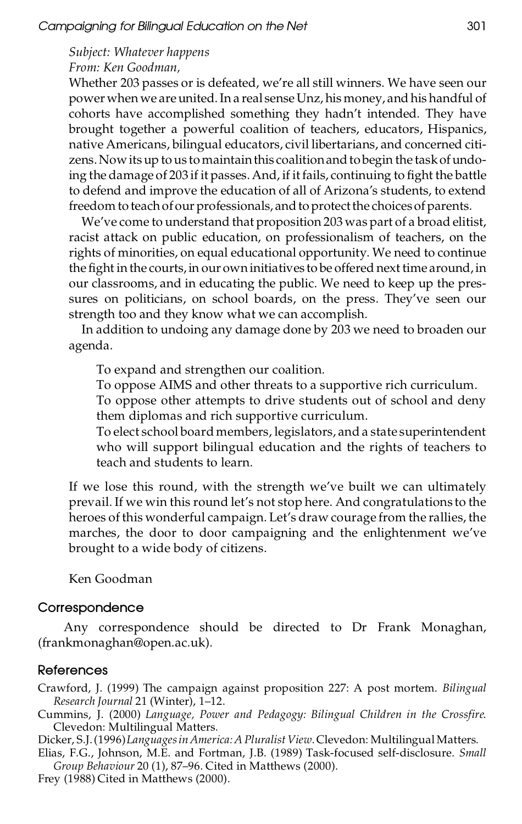### *Subject: Whatever happens From: Ken Goodman,*

Whether 203 passes or is defeated, we're all still winners. We have seen our power when we areunited.In a real senseUnz, his money, and his handful of cohorts have accomplished something they hadn't intended. They have brought together a powerful coalition of teachers, educators, Hispanics, native Americans, bilingual educators, civil libertarians, and concerned citizens. Now its up to us to maintain this coalition and to begin the task of undoing the damage of 203 if it passes.And, if itfails, continuing to fight the battle to defend and improve the education of all of Arizona's students, to extend freedom to teach of our professionals, and to protect the choices of parents.

We've come to understand that proposition 203 was part of a broad elitist, racist attack on public education, on professionalism of teachers, on the rights of minorities, on equal educational opportunity. We need to continue the fight in the courts, in our own initiatives to be offered next time around, in our classrooms, and in educating the public. We need to keep up the pressures on politicians, on school boards, on the press. They've seen our strength too and they know what we can accomplish.

In addition to undoing any damage done by 203 we need to broaden our agenda.

To expand and strengthen our coalition.

To oppose AIMS and other threats to a supportive rich curriculum.

To oppose other attempts to drive students out of school and deny them diplomas and rich supportive curriculum.

To elect school board members, legislators, and a state superintendent who will support bilingual education and the rights of teachers to teach and students to learn.

If we lose this round, with the strength we've built we can ultimately prevail. If we win this round let's not stop here. And congratulations to the heroes of this wonderful campaign. Let's draw courage from the rallies, the marches, the door to door campaigning and the enlightenment we've brought to a wide body of citizens.

Ken Goodman

#### Correspondence

Any correspondence should be directed to Dr Frank Monaghan, (frankmonaghan@open.ac.uk).

#### References

Crawford, J. (1999) The campaign against proposition 227: A post mortem. *Bilingual Research Journal* 21 (Winter), 1–12.

Cummins, J. (2000) *Language, Power and Pedagogy: Bilingual Children in the Crossfire*. Clevedon: Multilingual Matters.

Dicker, S.J.(1996)*LanguagesinAmerica:A Pluralist View*. Clevedon: Multilingual Matters.

Elias, F.G., Johnson, M.E. and Fortman, J.B. (1989) Task-focused self-disclosure. *Small Group Behaviour* 20 (1), 87–96. Cited in Matthews (2000).

Frey (1988) Cited in Matthews (2000).